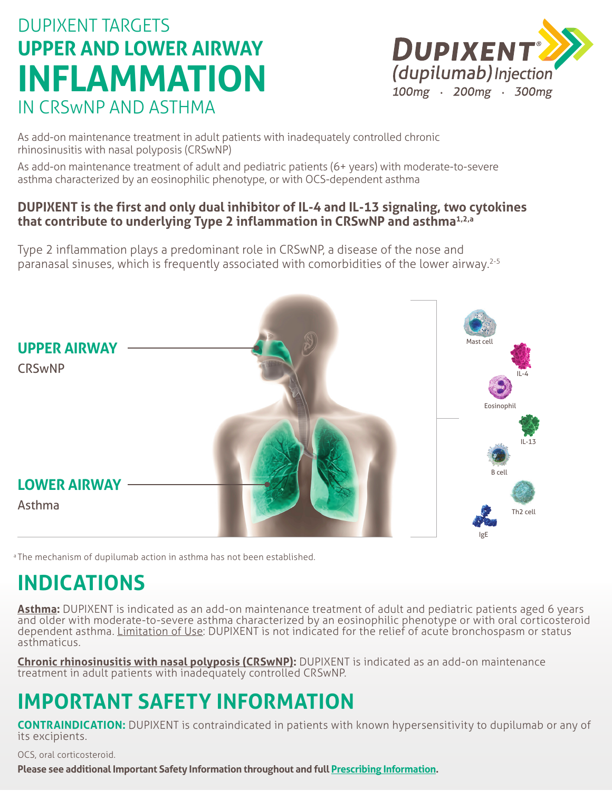# DUPIXENT TARGETS **UPPER AND LOWER AIRWAY INFLAMMATION** IN CRSwNP AND ASTHMA



As add-on maintenance treatment in adult patients with inadequately controlled chronic rhinosinusitis with nasal polyposis (CRSwNP)

As add-on maintenance treatment of adult and pediatric patients (6+ years) with moderate-to-severe asthma characterized by an eosinophilic phenotype, or with OCS-dependent asthma

### **DUPIXENT is the first and only dual inhibitor of IL-4 and IL-13 signaling, two cytokines that contribute to underlying Type 2 inflammation in CRSwNP and asthma1,2,a**

Type 2 inflammation plays a predominant role in CRSwNP, a disease of the nose and paranasal sinuses, which is frequently associated with comorbidities of the lower airway.2-5



<sup>a</sup> The mechanism of dupilumab action in asthma has not been established.

### **INDICATIONS**

**Asthma:** DUPIXENT is indicated as an add-on maintenance treatment of adult and pediatric patients aged 6 years and older with moderate-to-severe asthma characterized by an eosinophilic phenotype or with oral corticosteroid dependent asthma. Limitation of Use: DUPIXENT is not indicated for the relief of acute bronchospasm or status asthmaticus.

**Chronic rhinosinusitis with nasal polyposis (CRSwNP):** DUPIXENT is indicated as an add-on maintenance treatment in adult patients with inadequately controlled CRSwNP.

# **IMPORTANT SAFETY INFORMATION**

**CONTRAINDICATION:** DUPIXENT is contraindicated in patients with known hypersensitivity to dupilumab or any of its excipients.

OCS, oral corticosteroid.

**Please see additional Important Safety Information throughout and full [Prescribing Information](https://www.regeneron.com/downloads/dupixent_fpi.pdf).**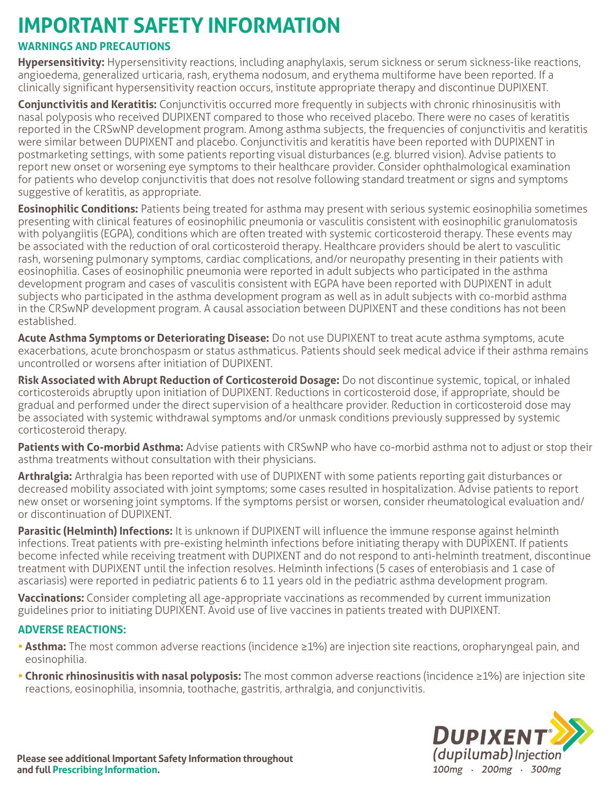# **IMPORTANT SAFETY INFORMATION**

### **WARNINGS AND PRECAUTIONS**

**Hypersensitivity:** Hypersensitivity reactions, including anaphylaxis, serum sickness or serum sickness-like reactions, angioedema, generalized urticaria, rash, erythema nodosum, and erythema multiforme have been reported. If a clinically significant hypersensitivity reaction occurs, institute appropriate therapy and discontinue DUPIXENT.

**Conjunctivitis and Keratitis:** Conjunctivitis occurred more frequently in subjects with chronic rhinosinusitis with nasal polyposis who received DUPIXENT compared to those who received placebo. There were no cases of keratitis reported in the CRSwNP development program. Among asthma subjects, the frequencies of conjunctivitis and keratitis were similar between DUPIXENT and placebo. Conjunctivitis and keratitis have been reported with DUPIXENT in postmarketing settings, with some patients reporting visual disturbances (e.g. blurred vision). Advise patients to report new onset or worsening eye symptoms to their healthcare provider. Consider ophthalmological examination for patients who develop conjunctivitis that does not resolve following standard treatment or signs and symptoms suggestive of keratitis, as appropriate.

**Eosinophilic Conditions:** Patients being treated for asthma may present with serious systemic eosinophilia sometimes presenting with clinical features of eosinophilic pneumonia or vasculitis consistent with eosinophilic granulomatosis with polyangiitis (EGPA), conditions which are often treated with systemic corticosteroid therapy. These events may be associated with the reduction of oral corticosteroid therapy. Healthcare providers should be alert to vasculitic rash, worsening pulmonary symptoms, cardiac complications, and/or neuropathy presenting in their patients with eosinophilia. Cases of eosinophilic pneumonia were reported in adult subjects who participated in the asthma development program and cases of vasculitis consistent with EGPA have been reported with DUPIXENT in adult subjects who participated in the asthma development program as well as in adult subjects with co-morbid asthma in the CRSwNP development program. A causal association between DUPIXENT and these conditions has not been established.

**Acute Asthma Symptoms or Deteriorating Disease:** Do not use DUPIXENT to treat acute asthma symptoms, acute exacerbations, acute bronchospasm or status asthmaticus. Patients should seek medical advice if their asthma remains uncontrolled or worsens after initiation of DUPIXENT.

**Risk Associated with Abrupt Reduction of Corticosteroid Dosage:** Do not discontinue systemic, topical, or inhaled corticosteroids abruptly upon initiation of DUPIXENT. Reductions in corticosteroid dose, if appropriate, should be gradual and performed under the direct supervision of a healthcare provider. Reduction in corticosteroid dose may be associated with systemic withdrawal symptoms and/or unmask conditions previously suppressed by systemic corticosteroid therapy.

**Patients with Co-morbid Asthma:** Advise patients with CRSwNP who have co-morbid asthma not to adjust or stop their asthma treatments without consultation with their physicians.

**Arthralgia:** Arthralgia has been reported with use of DUPIXENT with some patients reporting gait disturbances or decreased mobility associated with joint symptoms; some cases resulted in hospitalization. Advise patients to report new onset or worsening joint symptoms. If the symptoms persist or worsen, consider rheumatological evaluation and/ or discontinuation of DUPIXENT.

**Parasitic (Helminth) Infections:** It is unknown if DUPIXENT will influence the immune response against helminth infections. Treat patients with pre-existing helminth infections before initiating therapy with DUPIXENT. If patients become infected while receiving treatment with DUPIXENT and do not respond to anti-helminth treatment, discontinue treatment with DUPIXENT until the infection resolves. Helminth infections (5 cases of enterobiasis and 1 case of ascariasis) were reported in pediatric patients 6 to 11 years old in the pediatric asthma development program.

**Vaccinations:** Consider completing all age-appropriate vaccinations as recommended by current immunization guidelines prior to initiating DUPIXENT. Avoid use of live vaccines in patients treated with DUPIXENT.

#### **ADVERSE REACTIONS:**

- **• Asthma:** The most common adverse reactions (incidence ≥1%) are injection site reactions, oropharyngeal pain, and eosinophilia.
- **Chronic rhinosinusitis with nasal polyposis:** The most common adverse reactions (incidence ≥1%) are injection site reactions, eosinophilia, insomnia, toothache, gastritis, arthralgia, and conjunctivitis.